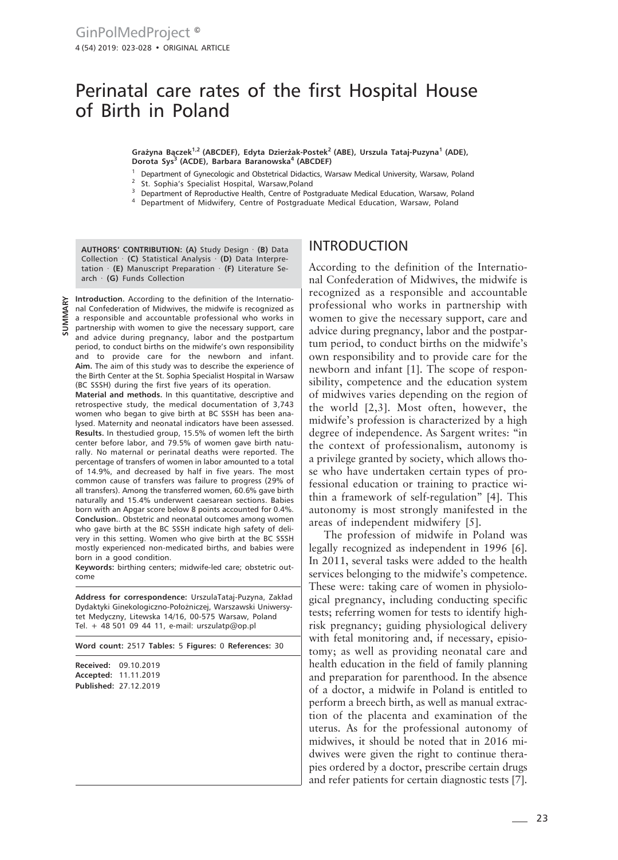# Perinatal care rates of the first Hospital House of Birth in Poland

**Grażyna Bączek1,2 (ABCDEF), Edyta Dzierżak-Postek2 (ABE), Urszula Tataj-Puzyna1 (ADE), Dorota Sys3 (ACDE), Barbara Baranowska4 (ABCDEF)**

- <sup>1</sup> Department of Gynecologic and Obstetrical Didactics, Warsaw Medical University, Warsaw, Poland
- St. Sophia's Specialist Hospital, Warsaw,Poland
- <sup>3</sup> Department of Reproductive Health, Centre of Postgraduate Medical Education, Warsaw, Poland
- <sup>4</sup> Department of Midwifery, Centre of Postgraduate Medical Education, Warsaw, Poland

**AUTHORS' CONTRIBUTION: (A)** Study Design · **(B)** Data Collection · **(C)** Statistical Analysis · **(D)** Data Interpretation · **(E)** Manuscript Preparation · **(F)** Literature Search · **(G)** Funds Collection

**Introduction.** According to the definition of the International Confederation of Midwives, the midwife is recognized as a responsible and accountable professional who works in  $\sum_{n=1}^{\infty}$  are responsible and accountable professional who works in partnership with women to give the necessary support, care and advice during pregnancy, labor and the postpartum period, to conduct births on the midwife's own responsibility and to provide care for the newborn and infant. **Aim.** The aim of this study was to describe the experience of the Birth Center at the St. Sophia Specialist Hospital in Warsaw (BC SSSH) during the first five years of its operation.

**Material and methods.** In this quantitative, descriptive and retrospective study, the medical documentation of 3,743 women who began to give birth at BC SSSH has been analysed. Maternity and neonatal indicators have been assessed. **Results.** In thestudied group, 15.5% of women left the birth center before labor, and 79.5% of women gave birth naturally. No maternal or perinatal deaths were reported. The percentage of transfers of women in labor amounted to a total of 14.9%, and decreased by half in five years. The most common cause of transfers was failure to progress (29% of all transfers). Among the transferred women, 60.6% gave birth naturally and 15.4% underwent caesarean sections. Babies born with an Apgar score below 8 points accounted for 0.4%. **Conclusion.**. Obstetric and neonatal outcomes among women who gave birth at the BC SSSH indicate high safety of delivery in this setting. Women who give birth at the BC SSSH mostly experienced non-medicated births, and babies were born in a good condition.

**Keywords:** birthing centers; midwife-led care; obstetric outcome

**Address for correspondence:** UrszulaTataj-Puzyna, Zakład Dydaktyki Ginekologiczno-Położniczej, Warszawski Uniwersytet Medyczny, Litewska 14/16, 00-575 Warsaw, Poland Tel. + 48 501 09 44 11, e-mail: urszulatp@op.pl

**Word count:** 2517 **Tables:** 5 **Figures:** 0 **References:** 30

**Received:** 09.10.2019 **Accepted:** 11.11.2019 **Published:** 27.12.2019

### INTRODUCTION

According to the definition of the International Confederation of Midwives, the midwife is recognized as a responsible and accountable professional who works in partnership with women to give the necessary support, care and advice during pregnancy, labor and the postpartum period, to conduct births on the midwife's own responsibility and to provide care for the newborn and infant [1]. The scope of responsibility, competence and the education system of midwives varies depending on the region of the world [2,3]. Most often, however, the midwife's profession is characterized by a high degree of independence. As Sargent writes: "in the context of professionalism, autonomy is a privilege granted by society, which allows those who have undertaken certain types of professional education or training to practice within a framework of self-regulation" [4]. This autonomy is most strongly manifested in the areas of independent midwifery [5].

The profession of midwife in Poland was legally recognized as independent in 1996 [6]. In 2011, several tasks were added to the health services belonging to the midwife's competence. These were: taking care of women in physiological pregnancy, including conducting specific tests; referring women for tests to identify highrisk pregnancy; guiding physiological delivery with fetal monitoring and, if necessary, episiotomy; as well as providing neonatal care and health education in the field of family planning and preparation for parenthood. In the absence of a doctor, a midwife in Poland is entitled to perform a breech birth, as well as manual extraction of the placenta and examination of the uterus. As for the professional autonomy of midwives, it should be noted that in 2016 midwives were given the right to continue therapies ordered by a doctor, prescribe certain drugs and refer patients for certain diagnostic tests [7].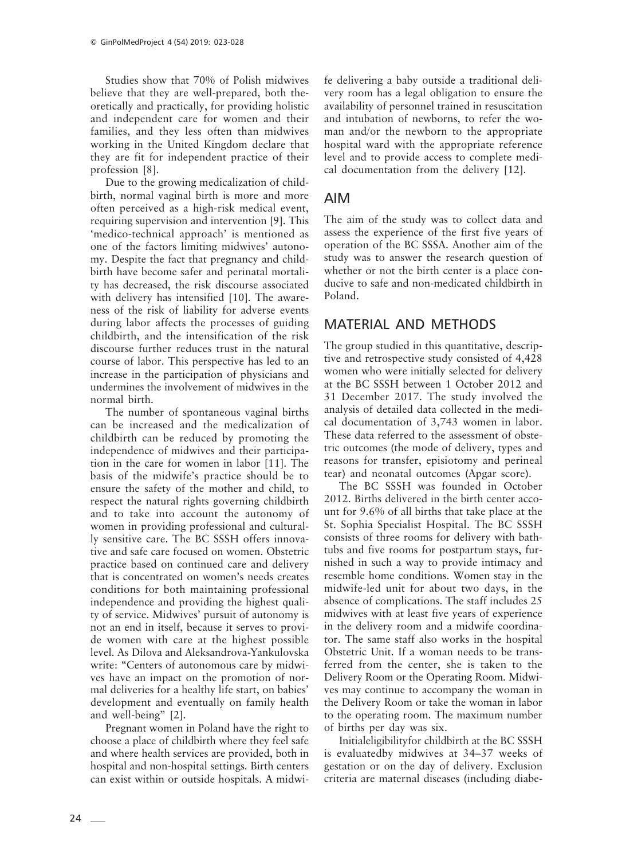Studies show that 70% of Polish midwives believe that they are well-prepared, both theoretically and practically, for providing holistic and independent care for women and their families, and they less often than midwives working in the United Kingdom declare that they are fit for independent practice of their profession [8].

Due to the growing medicalization of childbirth, normal vaginal birth is more and more often perceived as a high-risk medical event, requiring supervision and intervention [9]. This 'medico-technical approach' is mentioned as one of the factors limiting midwives' autonomy. Despite the fact that pregnancy and childbirth have become safer and perinatal mortality has decreased, the risk discourse associated with delivery has intensified [10]. The awareness of the risk of liability for adverse events during labor affects the processes of guiding childbirth, and the intensification of the risk discourse further reduces trust in the natural course of labor. This perspective has led to an increase in the participation of physicians and undermines the involvement of midwives in the normal birth.

The number of spontaneous vaginal births can be increased and the medicalization of childbirth can be reduced by promoting the independence of midwives and their participation in the care for women in labor [11]. The basis of the midwife's practice should be to ensure the safety of the mother and child, to respect the natural rights governing childbirth and to take into account the autonomy of women in providing professional and culturally sensitive care. The BC SSSH offers innovative and safe care focused on women. Obstetric practice based on continued care and delivery that is concentrated on women's needs creates conditions for both maintaining professional independence and providing the highest quality of service. Midwives' pursuit of autonomy is not an end in itself, because it serves to provide women with care at the highest possible level. As Dilova and Aleksandrova-Yankulovska write: "Centers of autonomous care by midwives have an impact on the promotion of normal deliveries for a healthy life start, on babies' development and eventually on family health and well-being" [2].

Pregnant women in Poland have the right to choose a place of childbirth where they feel safe and where health services are provided, both in hospital and non-hospital settings. Birth centers can exist within or outside hospitals. A midwife delivering a baby outside a traditional delivery room has a legal obligation to ensure the availability of personnel trained in resuscitation and intubation of newborns, to refer the woman and/or the newborn to the appropriate hospital ward with the appropriate reference level and to provide access to complete medical documentation from the delivery [12].

## AIM

The aim of the study was to collect data and assess the experience of the first five years of operation of the BC SSSA. Another aim of the study was to answer the research question of whether or not the birth center is a place conducive to safe and non-medicated childbirth in Poland.

## MATERIAL AND METHODS

The group studied in this quantitative, descriptive and retrospective study consisted of 4,428 women who were initially selected for delivery at the BC SSSH between 1 October 2012 and 31 December 2017. The study involved the analysis of detailed data collected in the medical documentation of 3,743 women in labor. These data referred to the assessment of obstetric outcomes (the mode of delivery, types and reasons for transfer, episiotomy and perineal tear) and neonatal outcomes (Apgar score).

The BC SSSH was founded in October 2012. Births delivered in the birth center account for 9.6% of all births that take place at the St. Sophia Specialist Hospital. The BC SSSH consists of three rooms for delivery with bathtubs and five rooms for postpartum stays, furnished in such a way to provide intimacy and resemble home conditions. Women stay in the midwife-led unit for about two days, in the absence of complications. The staff includes 25 midwives with at least five years of experience in the delivery room and a midwife coordinator. The same staff also works in the hospital Obstetric Unit. If a woman needs to be transferred from the center, she is taken to the Delivery Room or the Operating Room. Midwives may continue to accompany the woman in the Delivery Room or take the woman in labor to the operating room. The maximum number of births per day was six.

Initialeligibilityfor childbirth at the BC SSSH is evaluatedby midwives at 34–37 weeks of gestation or on the day of delivery. Exclusion criteria are maternal diseases (including diabe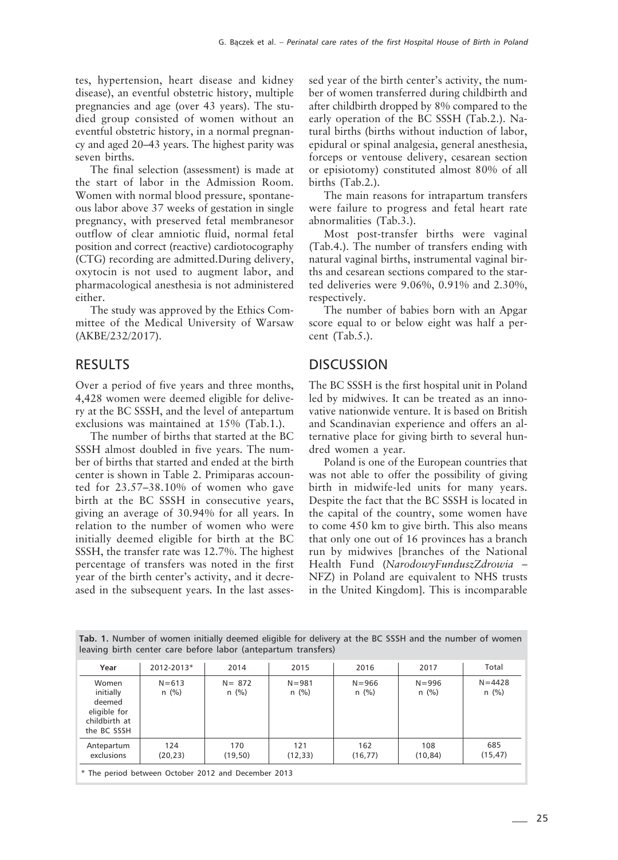tes, hypertension, heart disease and kidney disease), an eventful obstetric history, multiple pregnancies and age (over 43 years). The studied group consisted of women without an eventful obstetric history, in a normal pregnancy and aged 20–43 years. The highest parity was seven births.

The final selection (assessment) is made at the start of labor in the Admission Room. Women with normal blood pressure, spontaneous labor above 37 weeks of gestation in single pregnancy, with preserved fetal membranesor outflow of clear amniotic fluid, normal fetal position and correct (reactive) cardiotocography (CTG) recording are admitted.During delivery, oxytocin is not used to augment labor, and pharmacological anesthesia is not administered either.

The study was approved by the Ethics Committee of the Medical University of Warsaw (AKBE/232/2017).

## RESULTS

Over a period of five years and three months, 4,428 women were deemed eligible for delivery at the BC SSSH, and the level of antepartum exclusions was maintained at 15% (Tab.1.).

The number of births that started at the BC SSSH almost doubled in five years. The number of births that started and ended at the birth center is shown in Table 2. Primiparas accounted for 23.57–38.10% of women who gave birth at the BC SSSH in consecutive years, giving an average of 30.94% for all years. In relation to the number of women who were initially deemed eligible for birth at the BC SSSH, the transfer rate was 12.7%. The highest percentage of transfers was noted in the first year of the birth center's activity, and it decreased in the subsequent years. In the last assessed year of the birth center's activity, the number of women transferred during childbirth and after childbirth dropped by 8% compared to the early operation of the BC SSSH (Tab.2.). Natural births (births without induction of labor, epidural or spinal analgesia, general anesthesia, forceps or ventouse delivery, cesarean section or episiotomy) constituted almost 80% of all births (Tab.2.).

The main reasons for intrapartum transfers were failure to progress and fetal heart rate abnormalities (Tab.3.).

Most post-transfer births were vaginal (Tab.4.). The number of transfers ending with natural vaginal births, instrumental vaginal births and cesarean sections compared to the started deliveries were 9.06%, 0.91% and 2.30%, respectively.

The number of babies born with an Apgar score equal to or below eight was half a percent (Tab.5.).

## **DISCUSSION**

The BC SSSH is the first hospital unit in Poland led by midwives. It can be treated as an innovative nationwide venture. It is based on British and Scandinavian experience and offers an alternative place for giving birth to several hundred women a year.

Poland is one of the European countries that was not able to offer the possibility of giving birth in midwife-led units for many years. Despite the fact that the BC SSSH is located in the capital of the country, some women have to come 450 km to give birth. This also means that only one out of 16 provinces has a branch run by midwives [branches of the National Health Fund (*NarodowyFunduszZdrowia* – NFZ) in Poland are equivalent to NHS trusts in the United Kingdom]. This is incomparable

|  | Tab. 1. Number of women initially deemed eligible for delivery at the BC SSSH and the number of women |  |  |  |  |  |  |
|--|-------------------------------------------------------------------------------------------------------|--|--|--|--|--|--|
|  | leaving birth center care before labor (antepartum transfers)                                         |  |  |  |  |  |  |

| Year                                                                         | 2012-2013*                                          | 2014                 | 2015                 | 2016                 | 2017                 | Total                 |  |
|------------------------------------------------------------------------------|-----------------------------------------------------|----------------------|----------------------|----------------------|----------------------|-----------------------|--|
| Women<br>initially<br>deemed<br>eligible for<br>childbirth at<br>the BC SSSH | $N = 613$<br>$n$ (%)                                | $N = 872$<br>$n$ (%) | $N = 981$<br>$n$ (%) | $N = 966$<br>$n$ (%) | $N = 996$<br>$n$ (%) | $N = 4428$<br>$n$ (%) |  |
| Antepartum<br>exclusions                                                     | 124<br>(20, 23)                                     | 170<br>(19,50)       | 121<br>(12, 33)      | 162<br>(16, 77)      | 108<br>(10, 84)      | 685<br>(15, 47)       |  |
|                                                                              | * The period between October 2012 and December 2013 |                      |                      |                      |                      |                       |  |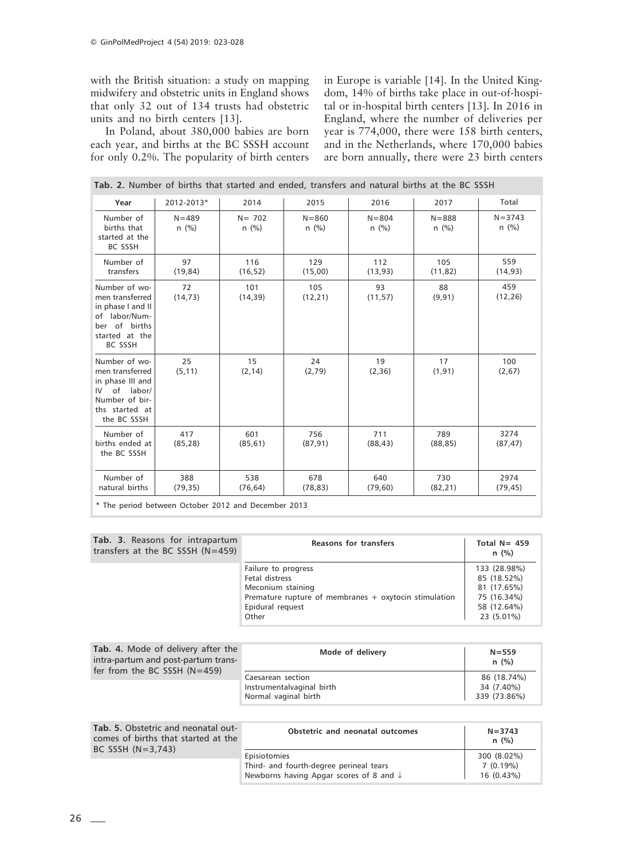with the British situation: a study on mapping midwifery and obstetric units in England shows that only 32 out of 134 trusts had obstetric units and no birth centers [13].

In Poland, about 380,000 babies are born each year, and births at the BC SSSH account for only 0.2%. The popularity of birth centers in Europe is variable [14]. In the United Kingdom, 14% of births take place in out-of-hospital or in-hospital birth centers [13]. In 2016 in England, where the number of deliveries per year is 774,000, there were 158 birth centers, and in the Netherlands, where 170,000 babies are born annually, there were 23 birth centers

| Year                                                                                                                        | 2012-2013*           | 2014                                                                     | 2015                 | 2016                 | 2017                 | Total                 |
|-----------------------------------------------------------------------------------------------------------------------------|----------------------|--------------------------------------------------------------------------|----------------------|----------------------|----------------------|-----------------------|
| Number of<br>births that<br>started at the<br><b>BC SSSH</b>                                                                | $N = 489$<br>$n$ (%) | $N = 702$<br>$n$ (%)                                                     | $N = 860$<br>$n$ (%) | $N = 804$<br>$n$ (%) | $N = 888$<br>$n$ (%) | $N = 3743$<br>$n$ (%) |
| Number of<br>transfers                                                                                                      | 97<br>(19, 84)       | 116<br>(16, 52)                                                          | 129<br>(15,00)       | 112<br>(13, 93)      | 105<br>(11, 82)      | 559<br>(14, 93)       |
| Number of wo-<br>men transferred<br>in phase I and II<br>of labor/Num-<br>ber of births<br>started at the<br><b>BC SSSH</b> | 72<br>(14, 73)       | 101<br>(14, 39)                                                          | 105<br>(12, 21)      | 93<br>(11, 57)       | 88<br>(9, 91)        | 459<br>(12, 26)       |
| Number of wo-<br>men transferred<br>in phase III and<br>of labor/<br>IV<br>Number of bir-<br>ths started at<br>the BC SSSH  | 25<br>(5, 11)        | 15<br>(2, 14)                                                            | 24<br>(2,79)         | 19<br>(2, 36)        | 17<br>(1, 91)        | 100<br>(2,67)         |
| Number of<br>births ended at<br>the BC SSSH                                                                                 | 417<br>(85, 28)      | 601<br>(85, 61)                                                          | 756<br>(87, 91)      | 711<br>(88, 43)      | 789<br>(88, 85)      | 3274<br>(87, 47)      |
| Number of<br>natural births                                                                                                 | 388<br>(79, 35)      | 538<br>(76, 64)<br>$*$ The period between October 2012 and December 2012 | 678<br>(78, 83)      | 640<br>(79, 60)      | 730<br>(82, 21)      | 2974<br>(79, 45)      |

**Tab. 2.** Number of births that started and ended, transfers and natural births at the BC SSSH

The period between October 2012 and December 2013

| Tab. 3. Reasons for intrapartum<br>transfers at the BC SSSH $(N=459)$ | <b>Reasons for transfers</b>                                                                                                                     | Total $N = 459$<br>$n$ (%)                                                             |
|-----------------------------------------------------------------------|--------------------------------------------------------------------------------------------------------------------------------------------------|----------------------------------------------------------------------------------------|
|                                                                       | Failure to progress<br>Fetal distress<br>Meconium staining<br>Premature rupture of membranes + oxytocin stimulation<br>Epidural request<br>Other | 133 (28.98%)<br>85 (18.52%)<br>81 (17.65%)<br>75 (16.34%)<br>58 (12.64%)<br>23 (5.01%) |

| Tab. 4. Mode of delivery after the<br>intra-partum and post-partum trans-<br>fer from the BC SSSH $(N=459)$ | Mode of delivery                                                       | $N = 559$<br>n(%)                         |
|-------------------------------------------------------------------------------------------------------------|------------------------------------------------------------------------|-------------------------------------------|
|                                                                                                             | Caesarean section<br>Instrumentalvaginal birth<br>Normal vaginal birth | 86 (18.74%)<br>34 (7.40%)<br>339 (73.86%) |

| Tab. 5. Obstetric and neonatal out-<br>comes of births that started at the<br>BC SSSH $(N=3.743)$ | Obstetric and neonatal outcomes                                                                               | $N = 3743$<br>n(%)                    |
|---------------------------------------------------------------------------------------------------|---------------------------------------------------------------------------------------------------------------|---------------------------------------|
|                                                                                                   | Episiotomies<br>Third- and fourth-degree perineal tears<br>Newborns having Apgar scores of 8 and $\downarrow$ | 300 (8.02%)<br>7(0.19%)<br>16 (0.43%) |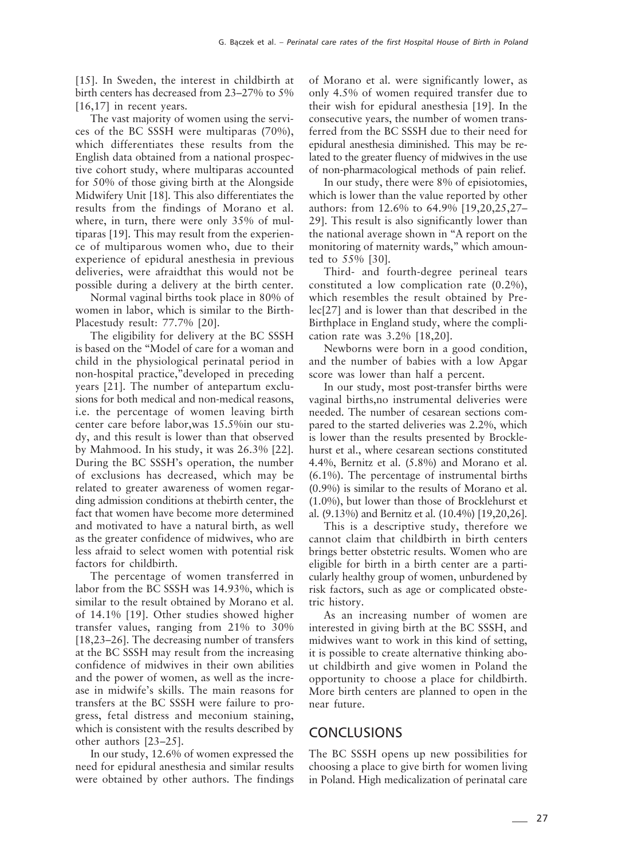[15]. In Sweden, the interest in childbirth at birth centers has decreased from 23–27% to 5% [16,17] in recent years.

The vast majority of women using the services of the BC SSSH were multiparas (70%), which differentiates these results from the English data obtained from a national prospective cohort study, where multiparas accounted for 50% of those giving birth at the Alongside Midwifery Unit [18]. This also differentiates the results from the findings of Morano et al. where, in turn, there were only 35% of multiparas [19]. This may result from the experience of multiparous women who, due to their experience of epidural anesthesia in previous deliveries, were afraidthat this would not be possible during a delivery at the birth center.

Normal vaginal births took place in 80% of women in labor, which is similar to the Birth-Placestudy result: 77.7% [20].

The eligibility for delivery at the BC SSSH is based on the "Model of care for a woman and child in the physiological perinatal period in non-hospital practice,"developed in preceding years [21]. The number of antepartum exclusions for both medical and non-medical reasons, i.e. the percentage of women leaving birth center care before labor,was 15.5%in our study, and this result is lower than that observed by Mahmood. In his study, it was 26.3% [22]. During the BC SSSH's operation, the number of exclusions has decreased, which may be related to greater awareness of women regarding admission conditions at thebirth center, the fact that women have become more determined and motivated to have a natural birth, as well as the greater confidence of midwives, who are less afraid to select women with potential risk factors for childbirth.

The percentage of women transferred in labor from the BC SSSH was 14.93%, which is similar to the result obtained by Morano et al. of 14.1% [19]. Other studies showed higher transfer values, ranging from 21% to 30% [18,23–26]. The decreasing number of transfers at the BC SSSH may result from the increasing confidence of midwives in their own abilities and the power of women, as well as the increase in midwife's skills. The main reasons for transfers at the BC SSSH were failure to progress, fetal distress and meconium staining, which is consistent with the results described by other authors [23–25].

In our study, 12.6% of women expressed the need for epidural anesthesia and similar results were obtained by other authors. The findings

of Morano et al. were significantly lower, as only 4.5% of women required transfer due to their wish for epidural anesthesia [19]. In the consecutive years, the number of women transferred from the BC SSSH due to their need for epidural anesthesia diminished. This may be related to the greater fluency of midwives in the use of non-pharmacological methods of pain relief.

In our study, there were 8% of episiotomies, which is lower than the value reported by other authors: from 12.6% to 64.9% [19,20,25,27– 29]. This result is also significantly lower than the national average shown in "A report on the monitoring of maternity wards," which amounted to 55% [30].

Third- and fourth-degree perineal tears constituted a low complication rate (0.2%), which resembles the result obtained by Prelec[27] and is lower than that described in the Birthplace in England study, where the complication rate was 3.2% [18,20].

Newborns were born in a good condition, and the number of babies with a low Apgar score was lower than half a percent.

In our study, most post-transfer births were vaginal births,no instrumental deliveries were needed. The number of cesarean sections compared to the started deliveries was 2.2%, which is lower than the results presented by Brocklehurst et al., where cesarean sections constituted 4.4%, Bernitz et al. (5.8%) and Morano et al. (6.1%). The percentage of instrumental births (0.9%) is similar to the results of Morano et al. (1.0%), but lower than those of Brocklehurst et al. (9.13%) and Bernitz et al. (10.4%) [19,20,26].

This is a descriptive study, therefore we cannot claim that childbirth in birth centers brings better obstetric results. Women who are eligible for birth in a birth center are a particularly healthy group of women, unburdened by risk factors, such as age or complicated obstetric history.

As an increasing number of women are interested in giving birth at the BC SSSH, and midwives want to work in this kind of setting, it is possible to create alternative thinking about childbirth and give women in Poland the opportunity to choose a place for childbirth. More birth centers are planned to open in the near future.

#### **CONCLUSIONS**

The BC SSSH opens up new possibilities for choosing a place to give birth for women living in Poland. High medicalization of perinatal care